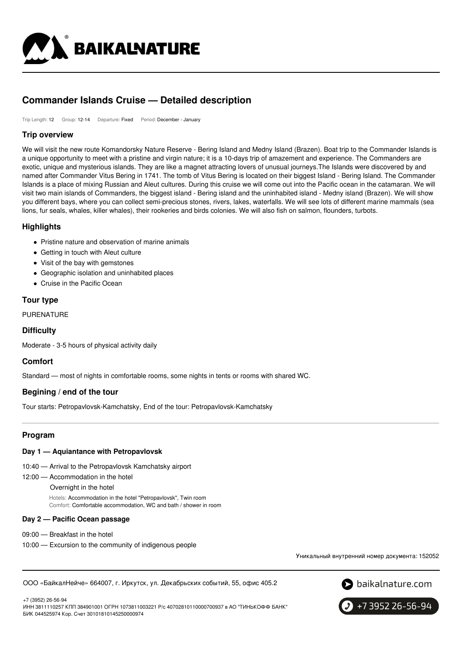

# **Commander Islands Cruise — Detailed description**

Trip Length: 12 Group: 12-14 Departure: Fixed Period: December - January

### **Trip overview**

We will visit the new route Komandorsky Nature Reserve - Bering Island and Medny Island (Brazen). Boat trip to the Commander Islands is a unique opportunity to meet with a pristine and virgin nature; it is a 10-days trip of amazement and experience. The Commanders are exotic, unique and mysterious islands. They are like a magnet attracting lovers of unusual journeys.The Islands were discovered by and named after Commander Vitus Bering in 1741. The tomb of Vitus Bering is located on their biggest Island - Bering Island. The Commander Islands is a place of mixing Russian and Aleut cultures. During this cruise we will come out into the Pacific ocean in the catamaran. We will visit two main islands of Commanders, the biggest island - Bering island and the uninhabited island - Medny island (Brazen). We will show you different bays, where you can collect semi-precious stones, rivers, lakes, waterfalls. We will see lots of different marine mammals (sea lions, fur seals, whales, killer whales), their rookeries and birds colonies. We will also fish on salmon, flounders, turbots.

### **Highlights**

- Pristine nature and observation of marine animals
- Getting in touch with Aleut culture
- Visit of the bay with gemstones
- Geographic isolation and uninhabited places
- Cruise in the Pacific Ocean

### **Tour type**

PURENATURE

### **Difficulty**

Moderate - 3-5 hours of physical activity daily

### **Comfort**

Standard — most of nights in comfortable rooms, some nights in tents or rooms with shared WC.

### **Begining / end of the tour**

Tour starts: Petropavlovsk-Kamchatsky, End of the tour: Petropavlovsk-Kamchatsky

### **Program**

### **Day 1 — Aquiantance with Petropavlovsk**

- 10:40 Arrival to the Petropavlovsk Kamchatsky airport
- 12:00 Accommodation in the hotel
	- Overnight in the hotel

Hotels: Accommodation in the hotel "Petropavlovsk", Twin room Comfort: Comfortable accommodation, WC and bath / shower in room

### **Day 2 — Pacific Ocean passage**

- 09:00 Breakfast in the hotel
- 10:00 Excursion to the community of indigenous people

Уникальный внутренний номер документа: 152052

ООО «БайкалНейче» 664007, г. Иркутск, ул. Декабрьских событий, 55, офис 405.2



+7 (3952) 26-56-94

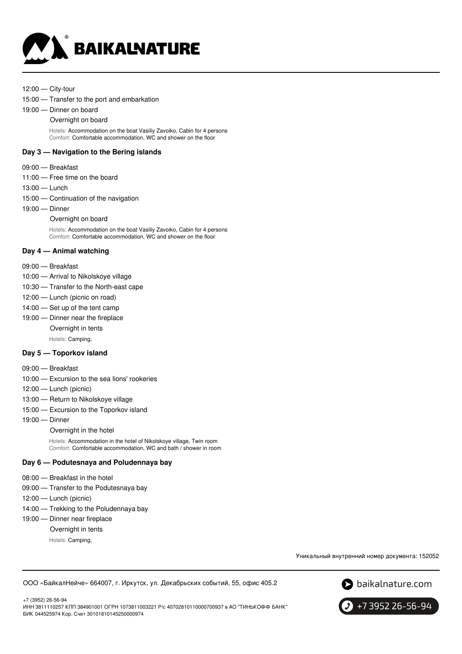

- 12:00 City-tour
- 15:00 Transfer to the port and embarkation
- 19:00 Dinner on board
	- Overnight on board

Hotels: Accommodation on the boat Vasiliy Zavoiko, Cabin for 4 persons Comfort: Comfortable accommodation, WC and shower on the floor

#### **Day 3 — Navigation to the Bering islands**

- 09:00 Breakfast
- 11:00 Free time on the board
- 13:00 Lunch
- 15:00 Continuation of the navigation
- 19:00 Dinner
	- Overnight on board

Hotels: Accommodation on the boat Vasiliy Zavoiko, Cabin for 4 persons Comfort: Comfortable accommodation, WC and shower on the floor

### **Day 4 — Animal watching**

- 09:00 Breakfast
- 10:00 Arrival to Nikolskoye village
- 10:30 Transfer to the North-east cape
- 12:00 Lunch (picnic on road)
- 14:00 Set up of the tent camp
- 19:00 Dinner near the fireplace
	- Overnight in tents
		- Hotels: Camping,

### **Day 5 — Toporkov island**

- 09:00 Breakfast
- 10:00 Excursion to the sea lions' rookeries
- 12:00 Lunch (picnic)
- 13:00 Return to Nikolskoye village
- 15:00 Excursion to the Toporkov island
- 19:00 Dinner
	- Overnight in the hotel

Hotels: Accommodation in the hotel of Nikolskoye village, Twin room Comfort: Comfortable accommodation, WC and bath / shower in room

### **Day 6 — Podutesnaya and Poludennaya bay**

- 08:00 Breakfast in the hotel
- 09:00 Transfer to the Podutesnaya bay
- 12:00 Lunch (picnic)
- 14:00 Trekking to the Poludennaya bay

#### 19:00 — Dinner near fireplace

- Overnight in tents
	- Hotels: Camping,

Уникальный внутренний номер документа: 152052

ООО «БайкалНейче» 664007, г. Иркутск, ул. Декабрьских событий, 55, офис 405.2



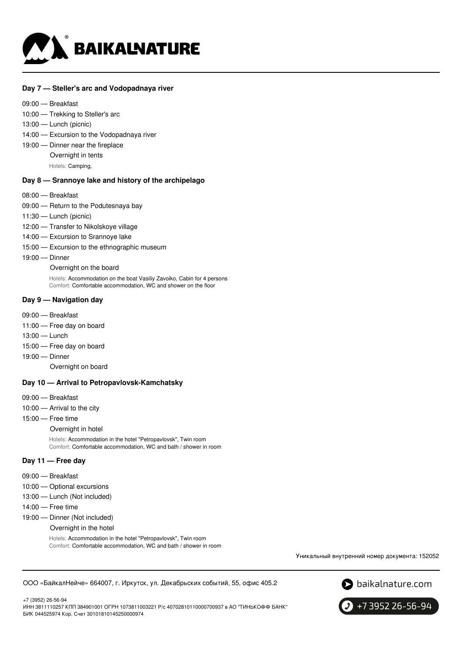

#### **Day 7 — Steller's arc and Vodopadnaya river**

- 09:00 Breakfast
- 10:00 Trekking to Steller's arc
- 13:00 Lunch (picnic)
- 14:00 Excursion to the Vodopadnaya river
- 19:00 Dinner near the fireplace
	- Overnight in tents

Hotels: Camping,

#### **Day 8 — Srannoye lake and history of the archipelago**

- 08:00 Breakfast
- 09:00 Return to the Podutesnaya bay
- 11:30 Lunch (picnic)
- 12:00 Transfer to Nikolskoye village
- 14:00 Excursion to Srannoye lake
- 15:00 Excursion to the ethnographic museum
- 19:00 Dinner

#### Overnight on the board

Hotels: Accommodation on the boat Vasiliy Zavoiko, Cabin for 4 persons Comfort: Comfortable accommodation, WC and shower on the floor

#### **Day 9 — Navigation day**

- 09:00 Breakfast
- 11:00 Free day on board
- 13:00 Lunch
- 15:00 Free day on board
- 19:00 Dinner
	- Overnight on board

### **Day 10 — Arrival to Petropavlovsk-Kamchatsky**

- 09:00 Breakfast
- 10:00 Arrival to the city
- 15:00 Free time
	- Overnight in hotel

Hotels: Accommodation in the hotel "Petropavlovsk", Twin room Comfort: Comfortable accommodation, WC and bath / shower in room

#### **Day 11 — Free day**

- 09:00 Breakfast
- 10:00 Optional excursions
- 13:00 Lunch (Not included)
- 14:00 Free time
- 19:00 Dinner (Not included)
	- Overnight in the hotel

Hotels: Accommodation in the hotel "Petropavlovsk", Twin room Comfort: Comfortable accommodation, WC and bath / shower in room

Уникальный внутренний номер документа: 152052

#### ООО «БайкалНейче» 664007, г. Иркутск, ул. Декабрьских событий, 55, офис 405.2



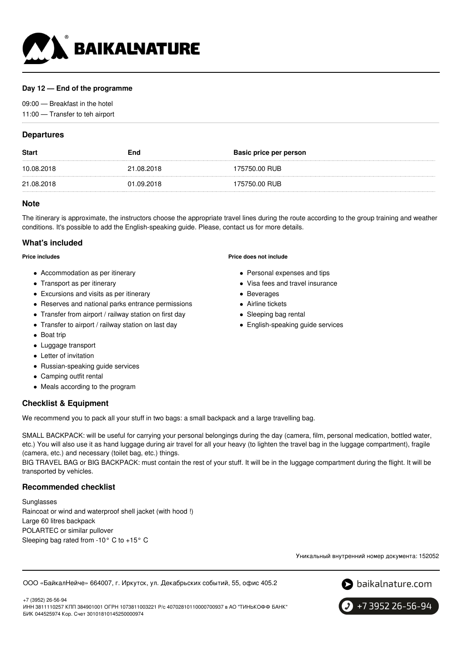

### **Day 12 — End of the programme**

09:00 — Breakfast in the hotel 11:00 — Transfer to teh airport

### **Departures**

| <b>Start</b> | End        | Basic price per person |
|--------------|------------|------------------------|
| 10.08.2018   | 21.08.2018 | 175750.00 RUB          |
| 21.08.2018   | 01.09.2018 | 175750.00 RUB          |

### **Note**

The itinerary is approximate, the instructors choose the appropriate travel lines during the route according to the group training and weather conditions. It's possible to add the English-speaking guide. Please, contact us for more details.

### **What's included**

**Price includes**

- Accommodation as per itinerary
- Transport as per itinerary
- Excursions and visits as per itinerary
- Reserves and national parks entrance permissions
- Transfer from airport / railway station on first day
- Transfer to airport / railway station on last day
- Boat trip
- Luggage transport
- Letter of invitation
- Russian-speaking guide services
- Camping outfit rental
- Meals according to the program

### **Checklist & Equipment**

We recommend you to pack all your stuff in two bags: a small backpack and a large travelling bag.

SMALL BACKPACK: will be useful for carrying your personal belongings during the day (camera, film, personal medication, bottled water, etc.) You will also use it as hand luggage during air travel for all your heavy (to lighten the travel bag in the luggage compartment), fragile (camera, etc.) and necessary (toilet bag, etc.) things.

BIG TRAVEL BAG or BIG BACKPACK: must contain the rest of your stuff. It will be in the luggage compartment during the flight. It will be transported by vehicles.

### **Recommended checklist**

+7 (3952) 26-56-94

Sunglasses Raincoat or wind and waterproof shell jacket (with hood !) Large 60 litres backpack POLARTEC or similar pullover Sleeping bag rated from -10° C to +15° C

**Price does not include**

- Personal expenses and tips
- Visa fees and travel insurance
- Beverages
- Airline tickets
- Sleeping bag rental
- English-speaking guide services

Уникальный внутренний номер документа: 152052

ООО «БайкалНейче» 664007, г. Иркутск, ул. Декабрьских событий, 55, офис 405.2



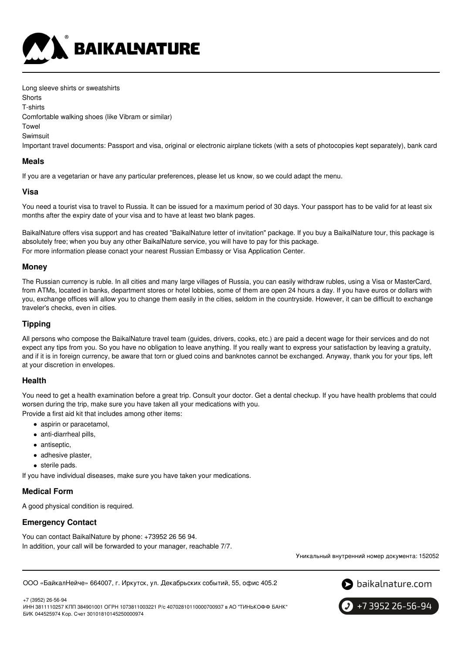

Long sleeve shirts or sweatshirts

**Shorts** 

T-shirts

Comfortable walking shoes (like Vibram or similar)

Towel

Swimsuit

Important travel documents: Passport and visa, original or electronic airplane tickets (with a sets of photocopies kept separately), bank card

### **Meals**

If you are a vegetarian or have any particular preferences, please let us know, so we could adapt the menu.

### **Visa**

You need a tourist visa to travel to Russia. It can be issued for a maximum period of 30 days. Your passport has to be valid for at least six months after the expiry date of your visa and to have at least two blank pages.

BaikalNature offers visa support and has created "BaikalNature letter of invitation" package. If you buy a BaikalNature tour, this package is absolutely free; when you buy any other BaikalNature service, you will have to pay for this package. For more information please conact your nearest Russian Embassy or Visa Application Center.

### **Money**

The Russian currency is ruble. In all cities and many large villages of Russia, you can easily withdraw rubles, using a Visa or MasterCard, from ATMs, located in banks, department stores or hotel lobbies, some of them are open 24 hours a day. If you have euros or dollars with you, exchange offices will allow you to change them easily in the cities, seldom in the countryside. However, it can be difficult to exchange traveler's checks, even in cities.

### **Tipping**

All persons who compose the BaikalNature travel team (guides, drivers, cooks, etc.) are paid a decent wage for their services and do not expect any tips from you. So you have no obligation to leave anything. If you really want to express your satisfaction by leaving a gratuity, and if it is in foreign currency, be aware that torn or glued coins and banknotes cannot be exchanged. Anyway, thank you for your tips, left at your discretion in envelopes.

### **Health**

You need to get a health examination before a great trip. Consult your doctor. Get a dental checkup. If you have health problems that could worsen during the trip, make sure you have taken all your medications with you.

Provide a first aid kit that includes among other items:

- aspirin or paracetamol.
- anti-diarrheal pills,
- antiseptic,
- adhesive plaster,
- sterile pads.

If you have individual diseases, make sure you have taken your medications.

### **Medical Form**

A good physical condition is required.

## **Emergency Contact**

You can contact BaikalNature by phone: +73952 26 56 94. In addition, your call will be forwarded to your manager, reachable 7/7.

Уникальный внутренний номер документа: 152052

ООО «БайкалНейче» 664007, г. Иркутск, ул. Декабрьских событий, 55, офис 405.2



+7 3952 26-56-94